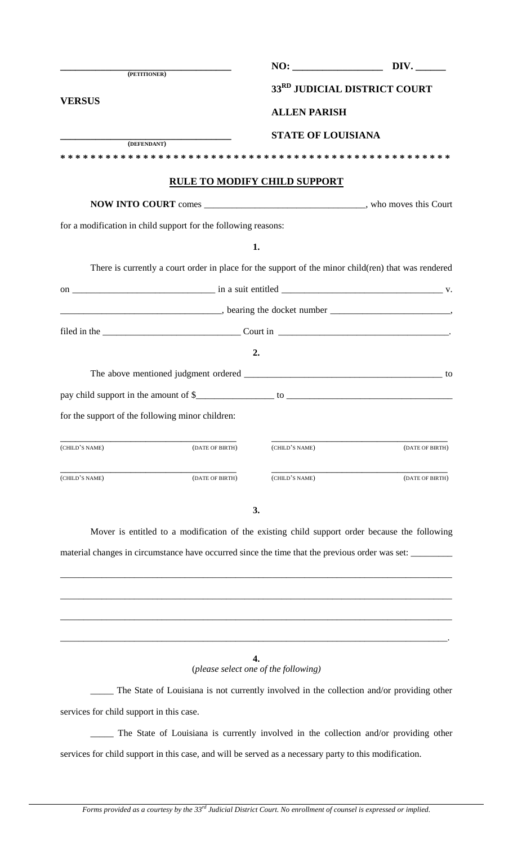| (PETITIONER)                             |                                                                |                                            | 33RD JUDICIAL DISTRICT COURT                                                                                                                                                                                                                                                                                                                                                                                                   |
|------------------------------------------|----------------------------------------------------------------|--------------------------------------------|--------------------------------------------------------------------------------------------------------------------------------------------------------------------------------------------------------------------------------------------------------------------------------------------------------------------------------------------------------------------------------------------------------------------------------|
| <b>VERSUS</b>                            |                                                                | <b>ALLEN PARISH</b>                        |                                                                                                                                                                                                                                                                                                                                                                                                                                |
|                                          |                                                                | <b>STATE OF LOUISIANA</b>                  |                                                                                                                                                                                                                                                                                                                                                                                                                                |
| (DEFENDANT)                              |                                                                |                                            |                                                                                                                                                                                                                                                                                                                                                                                                                                |
|                                          |                                                                |                                            |                                                                                                                                                                                                                                                                                                                                                                                                                                |
|                                          |                                                                | <b>RULE TO MODIFY CHILD SUPPORT</b>        |                                                                                                                                                                                                                                                                                                                                                                                                                                |
|                                          |                                                                |                                            |                                                                                                                                                                                                                                                                                                                                                                                                                                |
|                                          | for a modification in child support for the following reasons: |                                            |                                                                                                                                                                                                                                                                                                                                                                                                                                |
|                                          |                                                                | 1.                                         |                                                                                                                                                                                                                                                                                                                                                                                                                                |
|                                          |                                                                |                                            | There is currently a court order in place for the support of the minor child(ren) that was rendered                                                                                                                                                                                                                                                                                                                            |
|                                          |                                                                |                                            | on $\frac{1}{\sqrt{1-\frac{1}{\sqrt{1-\frac{1}{\sqrt{1-\frac{1}{\sqrt{1-\frac{1}{\sqrt{1-\frac{1}{\sqrt{1-\frac{1}{\sqrt{1-\frac{1}{\sqrt{1-\frac{1}{\sqrt{1-\frac{1}{\sqrt{1-\frac{1}{\sqrt{1-\frac{1}{\sqrt{1-\frac{1}{\sqrt{1-\frac{1}{\sqrt{1-\frac{1}{\sqrt{1-\frac{1}{\sqrt{1-\frac{1}{\sqrt{1-\frac{1}{\sqrt{1-\frac{1}{\sqrt{1-\frac{1}{\sqrt{1-\frac{1}{\sqrt{1-\frac{1}{\sqrt{1-\frac{1}{\sqrt{1-\frac{1}{\sqrt{1-\$ |
|                                          |                                                                |                                            |                                                                                                                                                                                                                                                                                                                                                                                                                                |
|                                          |                                                                |                                            |                                                                                                                                                                                                                                                                                                                                                                                                                                |
|                                          |                                                                | 2.                                         |                                                                                                                                                                                                                                                                                                                                                                                                                                |
|                                          |                                                                |                                            |                                                                                                                                                                                                                                                                                                                                                                                                                                |
|                                          |                                                                |                                            |                                                                                                                                                                                                                                                                                                                                                                                                                                |
|                                          | for the support of the following minor children:               |                                            |                                                                                                                                                                                                                                                                                                                                                                                                                                |
| (CHILD'S NAME)                           | (DATE OF BIRTH)                                                | (CHILD'S NAME)                             | (DATE OF BIRTH)                                                                                                                                                                                                                                                                                                                                                                                                                |
| (CHILD'S NAME)                           | (DATE OF BIRTH)                                                | (CHILD'S NAME)                             | (DATE OF BIRTH)                                                                                                                                                                                                                                                                                                                                                                                                                |
|                                          |                                                                | 3.                                         | Mover is entitled to a modification of the existing child support order because the following<br>material changes in circumstance have occurred since the time that the previous order was set:                                                                                                                                                                                                                                |
|                                          |                                                                | 4.<br>(please select one of the following) |                                                                                                                                                                                                                                                                                                                                                                                                                                |
|                                          |                                                                |                                            | The State of Louisiana is not currently involved in the collection and/or providing other                                                                                                                                                                                                                                                                                                                                      |
| services for child support in this case. |                                                                |                                            |                                                                                                                                                                                                                                                                                                                                                                                                                                |

\_\_\_\_\_ The State of Louisiana is currently involved in the collection and/or providing other services for child support in this case, and will be served as a necessary party to this modification.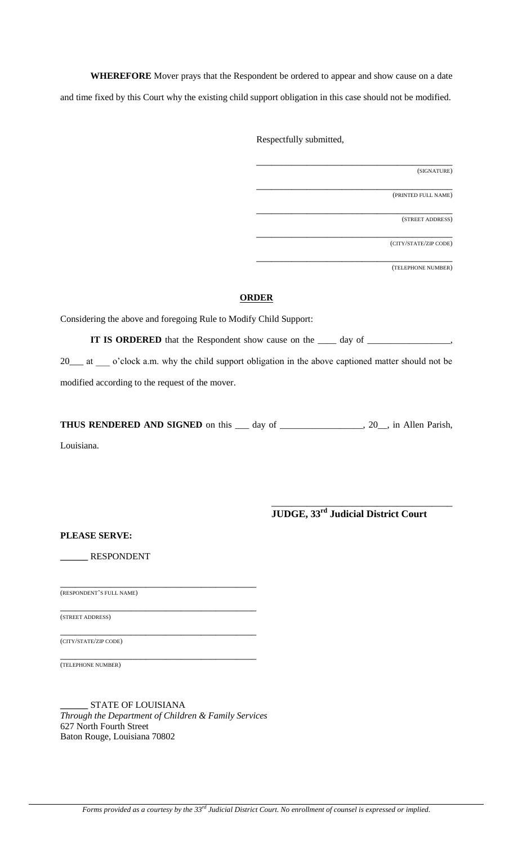**WHEREFORE** Mover prays that the Respondent be ordered to appear and show cause on a date and time fixed by this Court why the existing child support obligation in this case should not be modified.

Respectfully submitted,

\_\_\_\_\_\_\_\_\_\_\_\_\_\_\_\_\_\_\_\_\_\_\_\_\_\_\_\_\_\_\_\_\_\_\_\_\_\_\_ (SIGNATURE)

\_\_\_\_\_\_\_\_\_\_\_\_\_\_\_\_\_\_\_\_\_\_\_\_\_\_\_\_\_\_\_\_\_\_\_\_\_\_\_ (PRINTED FULL NAME)

\_\_\_\_\_\_\_\_\_\_\_\_\_\_\_\_\_\_\_\_\_\_\_\_\_\_\_\_\_\_\_\_\_\_\_\_\_\_\_ (STREET ADDRESS)

\_\_\_\_\_\_\_\_\_\_\_\_\_\_\_\_\_\_\_\_\_\_\_\_\_\_\_\_\_\_\_\_\_\_\_\_\_\_\_ (CITY/STATE/ZIP CODE)

\_\_\_\_\_\_\_\_\_\_\_\_\_\_\_\_\_\_\_\_\_\_\_\_\_\_\_\_\_\_\_\_\_\_\_\_\_\_\_ (TELEPHONE NUMBER)

## **ORDER**

Considering the above and foregoing Rule to Modify Child Support:

**IT IS ORDERED** that the Respondent show cause on the \_\_\_\_ day of \_\_\_\_\_\_\_\_\_\_\_\_\_\_,

20\_\_\_ at \_\_\_ o'clock a.m. why the child support obligation in the above captioned matter should not be modified according to the request of the mover.

**THUS RENDERED AND SIGNED** on this \_\_\_ day of \_\_\_\_\_\_\_\_\_\_\_\_\_\_\_\_\_\_, 20\_\_, in Allen Parish,

Louisiana.

\_\_\_\_\_\_\_\_\_\_\_\_\_\_\_\_\_\_\_\_\_\_\_\_\_\_\_\_\_\_\_\_\_\_\_\_ **JUDGE, 33rd Judicial District Court**

**PLEASE SERVE:**

**\_\_\_\_\_\_** RESPONDENT

\_\_\_\_\_\_\_\_\_\_\_\_\_\_\_\_\_\_\_\_\_\_\_\_\_\_\_\_\_\_\_\_\_\_\_\_\_\_\_ (RESPONDENT'S FULL NAME)

\_\_\_\_\_\_\_\_\_\_\_\_\_\_\_\_\_\_\_\_\_\_\_\_\_\_\_\_\_\_\_\_\_\_\_\_\_\_\_ (STREET ADDRESS)

\_\_\_\_\_\_\_\_\_\_\_\_\_\_\_\_\_\_\_\_\_\_\_\_\_\_\_\_\_\_\_\_\_\_\_\_\_\_\_ (CITY/STATE/ZIP CODE)

\_\_\_\_\_\_\_\_\_\_\_\_\_\_\_\_\_\_\_\_\_\_\_\_\_\_\_\_\_\_\_\_\_\_\_\_\_\_\_ (TELEPHONE NUMBER)

**\_\_\_\_\_\_** STATE OF LOUISIANA *Through the Department of Children & Family Services* 627 North Fourth Street Baton Rouge, Louisiana 70802